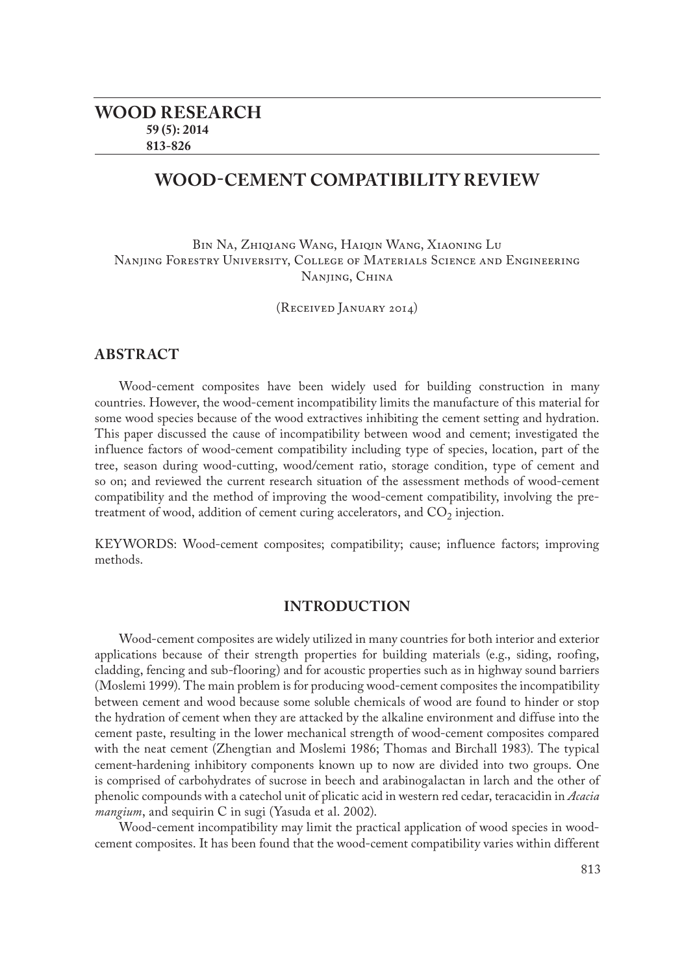# **Wood-cement compatibility review**

Bin Na, Zhiqiang Wang, Haiqin Wang, Xiaoning Lu Nanjing Forestry University, College of Materials Science and Engineering Nanjing, China

(Received January 2014)

## **ABSTRACT**

Wood-cement composites have been widely used for building construction in many countries. However, the wood-cement incompatibility limits the manufacture of this material for some wood species because of the wood extractives inhibiting the cement setting and hydration. This paper discussed the cause of incompatibility between wood and cement; investigated the influence factors of wood-cement compatibility including type of species, location, part of the tree, season during wood-cutting, wood/cement ratio, storage condition, type of cement and so on; and reviewed the current research situation of the assessment methods of wood-cement compatibility and the method of improving the wood-cement compatibility, involving the pretreatment of wood, addition of cement curing accelerators, and  $CO<sub>2</sub>$  injection.

KEYWORDS: Wood-cement composites; compatibility; cause; influence factors; improving methods.

## **INTRODUCTION**

Wood-cement composites are widely utilized in many countries for both interior and exterior applications because of their strength properties for building materials (e.g., siding, roofing, cladding, fencing and sub-flooring) and for acoustic properties such as in highway sound barriers (Moslemi 1999). The main problem is for producing wood-cement composites the incompatibility between cement and wood because some soluble chemicals of wood are found to hinder or stop the hydration of cement when they are attacked by the alkaline environment and diffuse into the cement paste, resulting in the lower mechanical strength of wood-cement composites compared with the neat cement (Zhengtian and Moslemi 1986; Thomas and Birchall 1983). The typical cement-hardening inhibitory components known up to now are divided into two groups. One is comprised of carbohydrates of sucrose in beech and arabinogalactan in larch and the other of phenolic compounds with a catechol unit of plicatic acid in western red cedar, teracacidin in *Acacia mangium*, and sequirin C in sugi (Yasuda et al. 2002).

Wood-cement incompatibility may limit the practical application of wood species in woodcement composites. It has been found that the wood-cement compatibility varies within different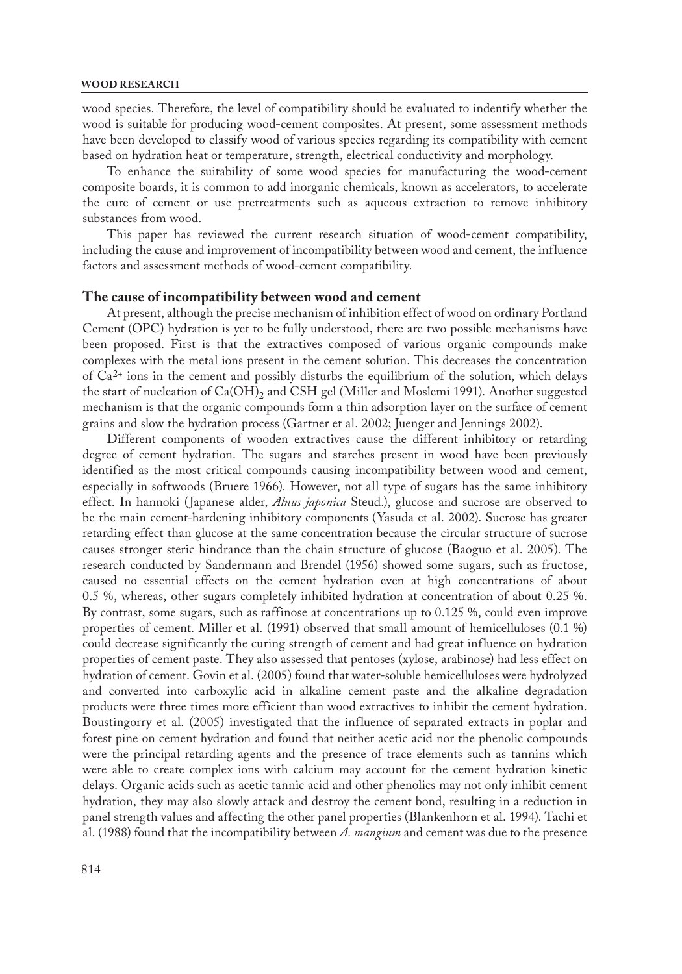#### **WOOD RESEARCH**

wood species. Therefore, the level of compatibility should be evaluated to indentify whether the wood is suitable for producing wood-cement composites. At present, some assessment methods have been developed to classify wood of various species regarding its compatibility with cement based on hydration heat or temperature, strength, electrical conductivity and morphology.

To enhance the suitability of some wood species for manufacturing the wood-cement composite boards, it is common to add inorganic chemicals, known as accelerators, to accelerate the cure of cement or use pretreatments such as aqueous extraction to remove inhibitory substances from wood.

This paper has reviewed the current research situation of wood-cement compatibility, including the cause and improvement of incompatibility between wood and cement, the influence factors and assessment methods of wood-cement compatibility.

### **The cause of incompatibility between wood and cement**

At present, although the precise mechanism of inhibition effect of wood on ordinary Portland Cement (OPC) hydration is yet to be fully understood, there are two possible mechanisms have been proposed. First is that the extractives composed of various organic compounds make complexes with the metal ions present in the cement solution. This decreases the concentration of  $Ca^{2+}$  ions in the cement and possibly disturbs the equilibrium of the solution, which delays the start of nucleation of  $Ca(OH)_{2}$  and CSH gel (Miller and Moslemi 1991). Another suggested mechanism is that the organic compounds form a thin adsorption layer on the surface of cement grains and slow the hydration process (Gartner et al. 2002; Juenger and Jennings 2002).

Different components of wooden extractives cause the different inhibitory or retarding degree of cement hydration. The sugars and starches present in wood have been previously identified as the most critical compounds causing incompatibility between wood and cement, especially in softwoods (Bruere 1966). However, not all type of sugars has the same inhibitory effect. In hannoki (Japanese alder, *Alnus japonica* Steud.), glucose and sucrose are observed to be the main cement-hardening inhibitory components (Yasuda et al. 2002). Sucrose has greater retarding effect than glucose at the same concentration because the circular structure of sucrose causes stronger steric hindrance than the chain structure of glucose (Baoguo et al. 2005). The research conducted by Sandermann and Brendel (1956) showed some sugars, such as fructose, caused no essential effects on the cement hydration even at high concentrations of about 0.5 %, whereas, other sugars completely inhibited hydration at concentration of about 0.25 %. By contrast, some sugars, such as raffinose at concentrations up to 0.125 %, could even improve properties of cement. Miller et al. (1991) observed that small amount of hemicelluloses (0.1 %) could decrease significantly the curing strength of cement and had great influence on hydration properties of cement paste. They also assessed that pentoses (xylose, arabinose) had less effect on hydration of cement. Govin et al. (2005) found that water-soluble hemicelluloses were hydrolyzed and converted into carboxylic acid in alkaline cement paste and the alkaline degradation products were three times more efficient than wood extractives to inhibit the cement hydration. Boustingorry et al. (2005) investigated that the influence of separated extracts in poplar and forest pine on cement hydration and found that neither acetic acid nor the phenolic compounds were the principal retarding agents and the presence of trace elements such as tannins which were able to create complex ions with calcium may account for the cement hydration kinetic delays. Organic acids such as acetic tannic acid and other phenolics may not only inhibit cement hydration, they may also slowly attack and destroy the cement bond, resulting in a reduction in panel strength values and affecting the other panel properties (Blankenhorn et al. 1994). Tachi et al. (1988) found that the incompatibility between *A. mangium* and cement was due to the presence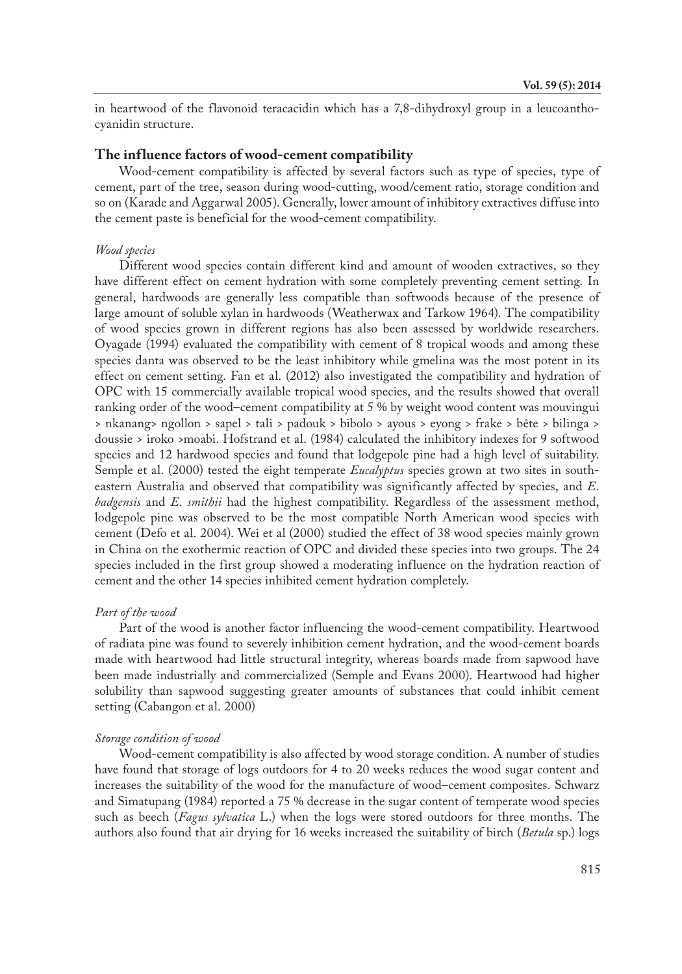in heartwood of the flavonoid teracacidin which has a 7,8-dihydroxyl group in a leucoanthocyanidin structure.

## **The influence factors of wood-cement compatibility**

Wood-cement compatibility is affected by several factors such as type of species, type of cement, part of the tree, season during wood-cutting, wood/cement ratio, storage condition and so on (Karade and Aggarwal 2005). Generally, lower amount of inhibitory extractives diffuse into the cement paste is beneficial for the wood-cement compatibility.

### *Wood species*

Different wood species contain different kind and amount of wooden extractives, so they have different effect on cement hydration with some completely preventing cement setting. In general, hardwoods are generally less compatible than softwoods because of the presence of large amount of soluble xylan in hardwoods (Weatherwax and Tarkow 1964). The compatibility of wood species grown in different regions has also been assessed by worldwide researchers. Oyagade (1994) evaluated the compatibility with cement of 8 tropical woods and among these species danta was observed to be the least inhibitory while gmelina was the most potent in its effect on cement setting. Fan et al. (2012) also investigated the compatibility and hydration of OPC with 15 commercially available tropical wood species, and the results showed that overall ranking order of the wood–cement compatibility at 5 % by weight wood content was mouvingui > nkanang> ngollon > sapel > tali > padouk > bibolo > ayous > eyong > frake > bête > bilinga > doussie > iroko >moabi. Hofstrand et al. (1984) calculated the inhibitory indexes for 9 softwood species and 12 hardwood species and found that lodgepole pine had a high level of suitability. Semple et al. (2000) tested the eight temperate *Eucalyptus* species grown at two sites in southeastern Australia and observed that compatibility was significantly affected by species, and *E. badgensis* and *E. smithii* had the highest compatibility. Regardless of the assessment method, lodgepole pine was observed to be the most compatible North American wood species with cement (Defo et al. 2004). Wei et al (2000) studied the effect of 38 wood species mainly grown in China on the exothermic reaction of OPC and divided these species into two groups. The 24 species included in the first group showed a moderating influence on the hydration reaction of cement and the other 14 species inhibited cement hydration completely.

### *Part of the wood*

Part of the wood is another factor influencing the wood-cement compatibility. Heartwood of radiata pine was found to severely inhibition cement hydration, and the wood-cement boards made with heartwood had little structural integrity, whereas boards made from sapwood have been made industrially and commercialized (Semple and Evans 2000). Heartwood had higher solubility than sapwood suggesting greater amounts of substances that could inhibit cement setting (Cabangon et al. 2000)

#### *Storage condition of wood*

Wood-cement compatibility is also affected by wood storage condition. A number of studies have found that storage of logs outdoors for 4 to 20 weeks reduces the wood sugar content and increases the suitability of the wood for the manufacture of wood–cement composites. Schwarz and Simatupang (1984) reported a 75 % decrease in the sugar content of temperate wood species such as beech (*Fagus sylvatica* L.) when the logs were stored outdoors for three months. The authors also found that air drying for 16 weeks increased the suitability of birch (*Betula* sp.) logs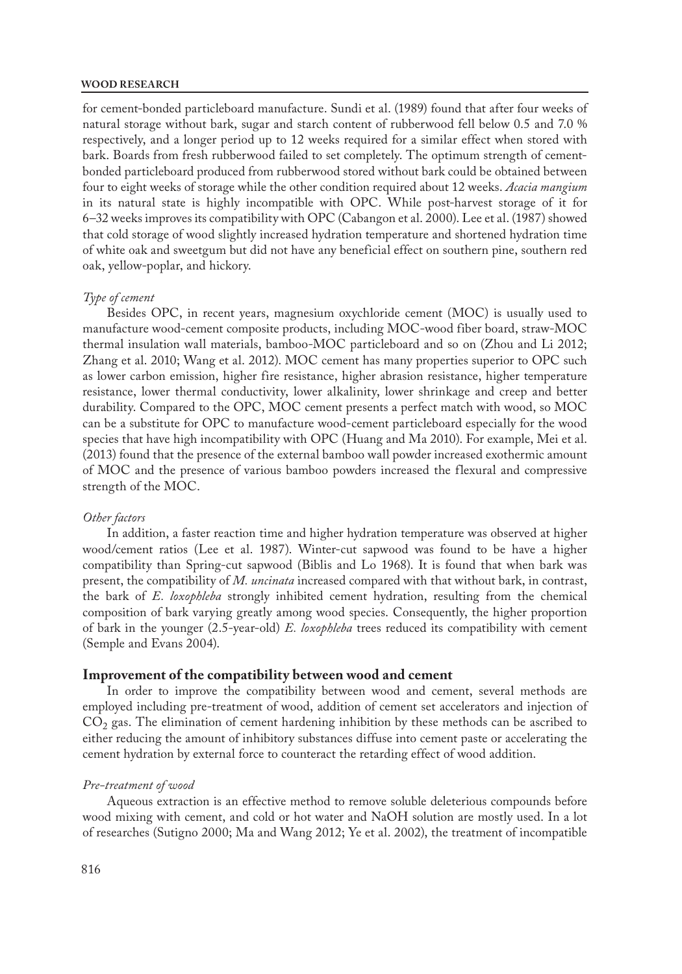#### **WOOD RESEARCH**

for cement-bonded particleboard manufacture. Sundi et al. (1989) found that after four weeks of natural storage without bark, sugar and starch content of rubberwood fell below 0.5 and 7.0 % respectively, and a longer period up to 12 weeks required for a similar effect when stored with bark. Boards from fresh rubberwood failed to set completely. The optimum strength of cementbonded particleboard produced from rubberwood stored without bark could be obtained between four to eight weeks of storage while the other condition required about 12 weeks. *Acacia mangium* in its natural state is highly incompatible with OPC. While post-harvest storage of it for 6–32 weeks improves its compatibility with OPC (Cabangon et al. 2000). Lee et al. (1987) showed that cold storage of wood slightly increased hydration temperature and shortened hydration time of white oak and sweetgum but did not have any beneficial effect on southern pine, southern red oak, yellow-poplar, and hickory.

#### *Type of cement*

Besides OPC, in recent years, magnesium oxychloride cement (MOC) is usually used to manufacture wood-cement composite products, including MOC-wood fiber board, straw-MOC thermal insulation wall materials, bamboo-MOC particleboard and so on (Zhou and Li 2012; Zhang et al. 2010; Wang et al. 2012). MOC cement has many properties superior to OPC such as lower carbon emission, higher fire resistance, higher abrasion resistance, higher temperature resistance, lower thermal conductivity, lower alkalinity, lower shrinkage and creep and better durability. Compared to the OPC, MOC cement presents a perfect match with wood, so MOC can be a substitute for OPC to manufacture wood-cement particleboard especially for the wood species that have high incompatibility with OPC (Huang and Ma 2010). For example, Mei et al. (2013) found that the presence of the external bamboo wall powder increased exothermic amount of MOC and the presence of various bamboo powders increased the flexural and compressive strength of the MOC.

#### *Other factors*

In addition, a faster reaction time and higher hydration temperature was observed at higher wood/cement ratios (Lee et al. 1987). Winter-cut sapwood was found to be have a higher compatibility than Spring-cut sapwood (Biblis and Lo 1968). It is found that when bark was present, the compatibility of *M. uncinata* increased compared with that without bark, in contrast, the bark of *E. loxophleba* strongly inhibited cement hydration, resulting from the chemical composition of bark varying greatly among wood species. Consequently, the higher proportion of bark in the younger (2.5-year-old) *E. loxophleba* trees reduced its compatibility with cement (Semple and Evans 2004).

### **Improvement of the compatibility between wood and cement**

In order to improve the compatibility between wood and cement, several methods are employed including pre-treatment of wood, addition of cement set accelerators and injection of  $CO<sub>2</sub>$  gas. The elimination of cement hardening inhibition by these methods can be ascribed to either reducing the amount of inhibitory substances diffuse into cement paste or accelerating the cement hydration by external force to counteract the retarding effect of wood addition.

### *Pre-treatment of wood*

Aqueous extraction is an effective method to remove soluble deleterious compounds before wood mixing with cement, and cold or hot water and NaOH solution are mostly used. In a lot of researches (Sutigno 2000; Ma and Wang 2012; Ye et al. 2002), the treatment of incompatible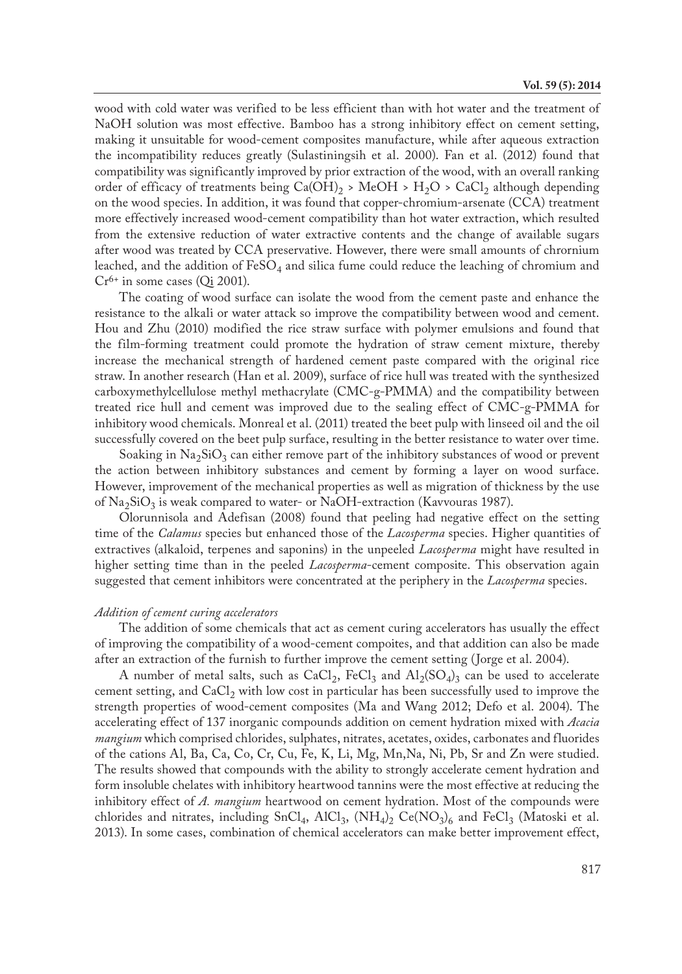wood with cold water was verified to be less efficient than with hot water and the treatment of NaOH solution was most effective. Bamboo has a strong inhibitory effect on cement setting, making it unsuitable for wood-cement composites manufacture, while after aqueous extraction the incompatibility reduces greatly (Sulastiningsih et al. 2000). Fan et al. (2012) found that compatibility was significantly improved by prior extraction of the wood, with an overall ranking order of efficacy of treatments being  $Ca(OH)_{2}$  > MeOH > H<sub>2</sub>O > CaCl<sub>2</sub> although depending on the wood species. In addition, it was found that copper-chromium-arsenate (CCA) treatment more effectively increased wood-cement compatibility than hot water extraction, which resulted from the extensive reduction of water extractive contents and the change of available sugars after wood was treated by CCA preservative. However, there were small amounts of chrornium leached, and the addition of  $\text{FeSO}_4$  and silica fume could reduce the leaching of chromium and  $Cr<sup>6+</sup>$  in some cases (Oi 2001).

The coating of wood surface can isolate the wood from the cement paste and enhance the resistance to the alkali or water attack so improve the compatibility between wood and cement. Hou and Zhu (2010) modified the rice straw surface with polymer emulsions and found that the film-forming treatment could promote the hydration of straw cement mixture, thereby increase the mechanical strength of hardened cement paste compared with the original rice straw. In another research (Han et al. 2009), surface of rice hull was treated with the synthesized carboxymethylcellulose methyl methacrylate (CMC-g-PMMA) and the compatibility between treated rice hull and cement was improved due to the sealing effect of CMC-g-PMMA for inhibitory wood chemicals. Monreal et al. (2011) treated the beet pulp with linseed oil and the oil successfully covered on the beet pulp surface, resulting in the better resistance to water over time.

Soaking in  $\text{Na}_2\text{SiO}_3$  can either remove part of the inhibitory substances of wood or prevent the action between inhibitory substances and cement by forming a layer on wood surface. However, improvement of the mechanical properties as well as migration of thickness by the use of  $\text{Na}_2\text{SiO}_3$  is weak compared to water- or NaOH-extraction (Kavvouras 1987).

Olorunnisola and Adefisan (2008) found that peeling had negative effect on the setting time of the *Calamus* species but enhanced those of the *Lacosperma* species. Higher quantities of extractives (alkaloid, terpenes and saponins) in the unpeeled *Lacosperma* might have resulted in higher setting time than in the peeled *Lacosperma*-cement composite. This observation again suggested that cement inhibitors were concentrated at the periphery in the *Lacosperma* species.

#### *Addition of cement curing accelerators*

The addition of some chemicals that act as cement curing accelerators has usually the effect of improving the compatibility of a wood-cement compoites, and that addition can also be made after an extraction of the furnish to further improve the cement setting (Jorge et al. 2004).

A number of metal salts, such as CaCl<sub>2</sub>, FeCl<sub>3</sub> and  $\text{Al}_2(SO_4)_3$  can be used to accelerate cement setting, and  $CaCl<sub>2</sub>$  with low cost in particular has been successfully used to improve the strength properties of wood-cement composites (Ma and Wang 2012; Defo et al. 2004). The accelerating effect of 137 inorganic compounds addition on cement hydration mixed with *Acacia mangium* which comprised chlorides, sulphates, nitrates, acetates, oxides, carbonates and fluorides of the cations Al, Ba, Ca, Co, Cr, Cu, Fe, K, Li, Mg, Mn,Na, Ni, Pb, Sr and Zn were studied. The results showed that compounds with the ability to strongly accelerate cement hydration and form insoluble chelates with inhibitory heartwood tannins were the most effective at reducing the inhibitory effect of *A. mangium* heartwood on cement hydration. Most of the compounds were chlorides and nitrates, including SnCl<sub>4</sub>, AlCl<sub>3</sub>, (NH<sub>4</sub>)<sub>2</sub> Ce(NO<sub>3</sub>)<sub>6</sub> and FeCl<sub>3</sub> (Matoski et al. 2013). In some cases, combination of chemical accelerators can make better improvement effect,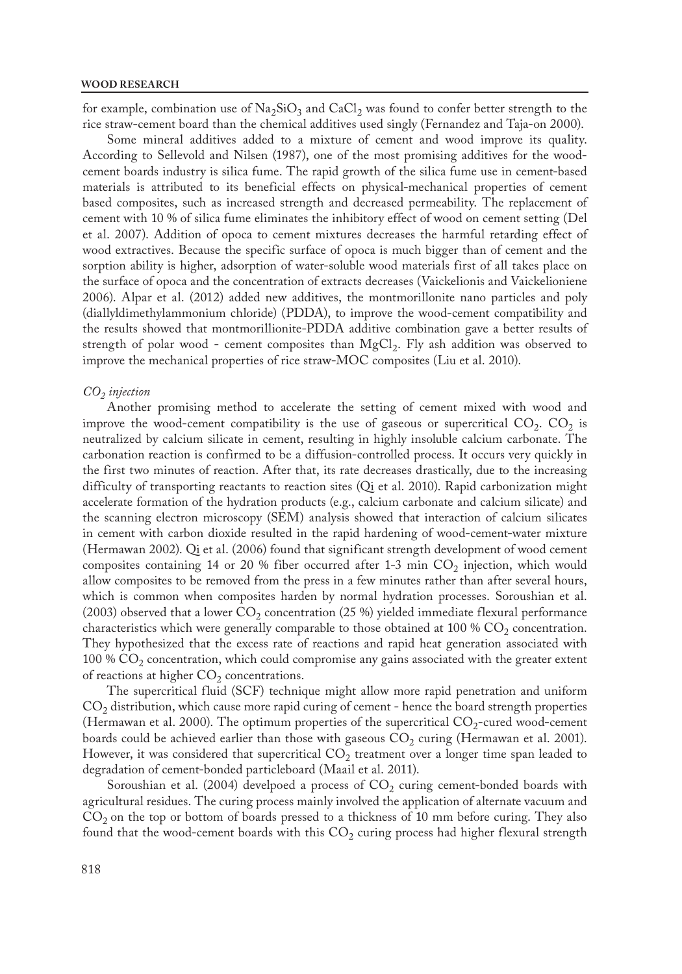for example, combination use of  $Na<sub>2</sub>SiO<sub>3</sub>$  and CaCl<sub>2</sub> was found to confer better strength to the rice straw-cement board than the chemical additives used singly (Fernandez and Taja-on 2000).

Some mineral additives added to a mixture of cement and wood improve its quality. According to Sellevold and Nilsen (1987), one of the most promising additives for the woodcement boards industry is silica fume. The rapid growth of the silica fume use in cement-based materials is attributed to its beneficial effects on physical-mechanical properties of cement based composites, such as increased strength and decreased permeability. The replacement of cement with 10 % of silica fume eliminates the inhibitory effect of wood on cement setting (Del et al. 2007). Addition of opoca to cement mixtures decreases the harmful retarding effect of wood extractives. Because the specific surface of opoca is much bigger than of cement and the sorption ability is higher, adsorption of water-soluble wood materials first of all takes place on the surface of opoca and the concentration of extracts decreases (Vaickelionis and Vaickelioniene 2006). Alpar et al. (2012) added new additives, the montmorillonite nano particles and poly (diallyldimethylammonium chloride) (PDDA), to improve the wood-cement compatibility and the results showed that montmorillionite-PDDA additive combination gave a better results of strength of polar wood - cement composites than  $MgCl<sub>2</sub>$ . Fly ash addition was observed to improve the mechanical properties of rice straw-MOC composites (Liu et al. 2010).

#### $CO<sub>2</sub>$ *injection*

Another promising method to accelerate the setting of cement mixed with wood and improve the wood-cement compatibility is the use of gaseous or supercritical  $CO_2$ .  $CO_2$  is neutralized by calcium silicate in cement, resulting in highly insoluble calcium carbonate. The carbonation reaction is confirmed to be a diffusion-controlled process. It occurs very quickly in the first two minutes of reaction. After that, its rate decreases drastically, due to the increasing difficulty of transporting reactants to reaction sites (Qi et al. 2010). Rapid carbonization might accelerate formation of the hydration products (e.g., calcium carbonate and calcium silicate) and the scanning electron microscopy (SEM) analysis showed that interaction of calcium silicates in cement with carbon dioxide resulted in the rapid hardening of wood-cement-water mixture (Hermawan 2002). Qi et al. (2006) found that significant strength development of wood cement composites containing 14 or 20 % fiber occurred after 1-3 min  $CO<sub>2</sub>$  injection, which would allow composites to be removed from the press in a few minutes rather than after several hours, which is common when composites harden by normal hydration processes. Soroushian et al. (2003) observed that a lower  $CO_2$  concentration (25 %) yielded immediate flexural performance characteristics which were generally comparable to those obtained at 100 %  $CO<sub>2</sub>$  concentration. They hypothesized that the excess rate of reactions and rapid heat generation associated with 100 %  $CO<sub>2</sub>$  concentration, which could compromise any gains associated with the greater extent of reactions at higher  $CO<sub>2</sub>$  concentrations.

The supercritical fluid (SCF) technique might allow more rapid penetration and uniform  $CO<sub>2</sub>$  distribution, which cause more rapid curing of cement - hence the board strength properties (Hermawan et al. 2000). The optimum properties of the supercritical  $CO_2$ -cured wood-cement boards could be achieved earlier than those with gaseous  $CO<sub>2</sub>$  curing (Hermawan et al. 2001). However, it was considered that supercritical  $CO<sub>2</sub>$  treatment over a longer time span leaded to degradation of cement-bonded particleboard (Maail et al. 2011).

Soroushian et al. (2004) develpoed a process of  $CO<sub>2</sub>$  curing cement-bonded boards with agricultural residues. The curing process mainly involved the application of alternate vacuum and  $CO<sub>2</sub>$  on the top or bottom of boards pressed to a thickness of 10 mm before curing. They also found that the wood-cement boards with this  $CO<sub>2</sub>$  curing process had higher flexural strength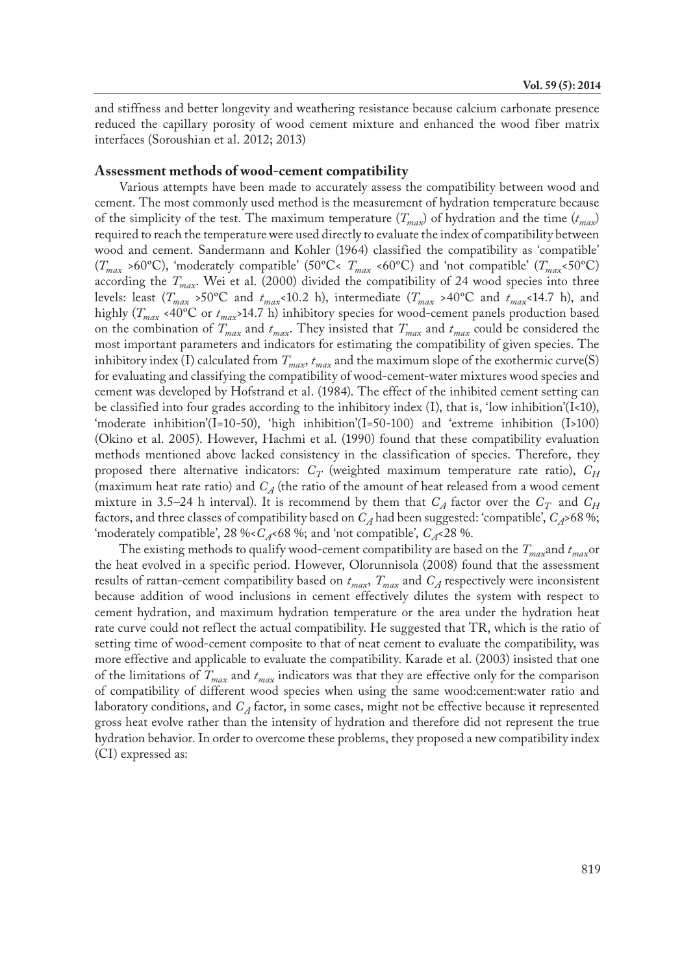and stiffness and better longevity and weathering resistance because calcium carbonate presence reduced the capillary porosity of wood cement mixture and enhanced the wood fiber matrix interfaces (Soroushian et al. 2012; 2013)

### **Assessment methods of wood-cement compatibility**

Various attempts have been made to accurately assess the compatibility between wood and cement. The most commonly used method is the measurement of hydration temperature because of the simplicity of the test. The maximum temperature  $(T_{max})$  of hydration and the time  $(t_{max})$ required to reach the temperature were used directly to evaluate the index of compatibility between wood and cement. Sandermann and Kohler (1964) classified the compatibility as 'compatible' (*Tmax* >60ºC), 'moderately compatible' (50ºC< *Tmax* <60ºC) and 'not compatible' (*Tmax*<50ºC) according the  $T_{max}$ . Wei et al. (2000) divided the compatibility of 24 wood species into three levels: least  $(T_{max} > 50^{\circ}\text{C}$  and  $t_{max} < 10.2$  h), intermediate  $(T_{max} > 40^{\circ}\text{C}$  and  $t_{max} < 14.7$  h), and highly ( $T_{max}$  <40°C or  $t_{max}$ >14.7 h) inhibitory species for wood-cement panels production based on the combination of  $T_{max}$  and  $t_{max}$ . They insisted that  $T_{max}$  and  $t_{max}$  could be considered the most important parameters and indicators for estimating the compatibility of given species. The inhibitory index (I) calculated from  $T_{max}$ ,  $t_{max}$  and the maximum slope of the exothermic curve(S) for evaluating and classifying the compatibility of wood-cement-water mixtures wood species and cement was developed by Hofstrand et al. (1984). The effect of the inhibited cement setting can be classified into four grades according to the inhibitory index  $(I)$ , that is, 'low inhibition' $(I<10)$ , 'moderate inhibition'(I=10-50), 'high inhibition'(I=50-100) and 'extreme inhibition (I>100) (Okino et al. 2005). However, Hachmi et al. (1990) found that these compatibility evaluation methods mentioned above lacked consistency in the classification of species. Therefore, they proposed there alternative indicators:  $C_T$  (weighted maximum temperature rate ratio),  $C_H$ (maximum heat rate ratio) and  $C_A$  (the ratio of the amount of heat released from a wood cement mixture in 3.5–24 h interval). It is recommend by them that  $C_A$  factor over the  $C_T$  and  $C_H$ factors, and three classes of compatibility based on  $C_A$  had been suggested: 'compatible',  $C_A$ >68 %; 'moderately compatible', 28 %< $C_A$ <68 %; and 'not compatible',  $C_A$ <28 %.

The existing methods to qualify wood-cement compatibility are based on the *Tmax*and *tmax*or the heat evolved in a specific period. However, Olorunnisola (2008) found that the assessment results of rattan-cement compatibility based on  $t_{max}$ ,  $T_{max}$  and  $C_A$  respectively were inconsistent because addition of wood inclusions in cement effectively dilutes the system with respect to cement hydration, and maximum hydration temperature or the area under the hydration heat rate curve could not reflect the actual compatibility. He suggested that TR, which is the ratio of setting time of wood-cement composite to that of neat cement to evaluate the compatibility, was more effective and applicable to evaluate the compatibility. Karade et al. (2003) insisted that one of the limitations of *Tmax* and *tmax* indicators was that they are effective only for the comparison of compatibility of different wood species when using the same wood:cement:water ratio and laboratory conditions, and *C<sub>A</sub>* factor, in some cases, might not be effective because it represented gross heat evolve rather than the intensity of hydration and therefore did not represent the true hydration behavior. In order to overcome these problems, they proposed a new compatibility index (CI) expressed as: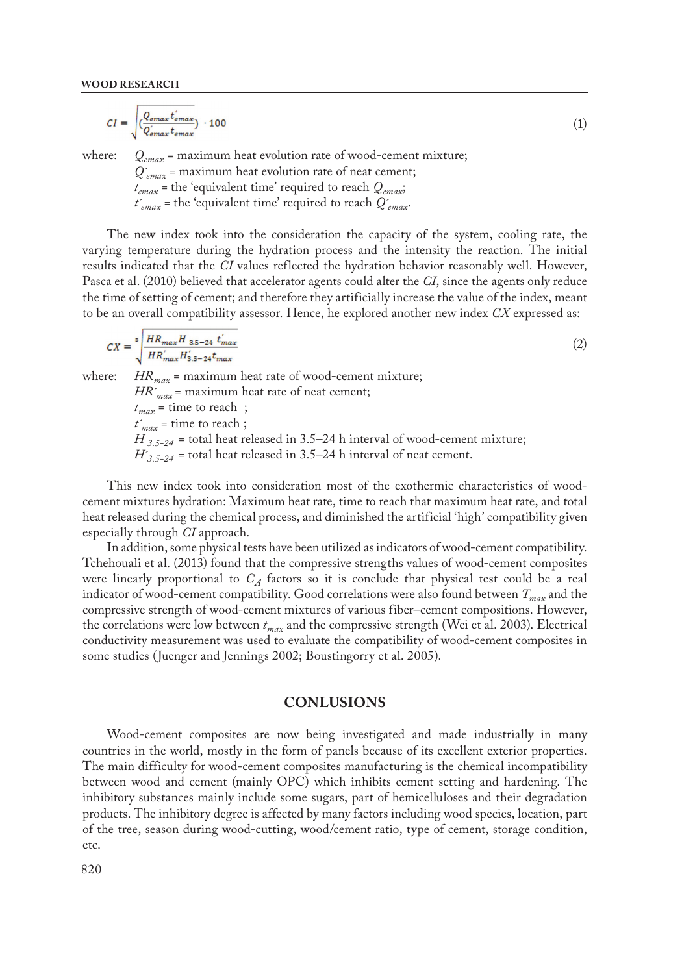$$
CI = \sqrt{\frac{Q_{emax}t'_{emax}}{Q'_{emax}t_{emax}}}\cdot 100\tag{1}
$$

where:  $Q_{emax}$  = maximum heat evolution rate of wood-cement mixture; *Q´emax =* maximum heat evolution rate of neat cement; *temax =* the 'equivalent time' required to reach *Qemax*;

*t´emax =* the 'equivalent time' required to reach *Q´emax*.

The new index took into the consideration the capacity of the system, cooling rate, the varying temperature during the hydration process and the intensity the reaction. The initial results indicated that the *CI* values reflected the hydration behavior reasonably well. However, Pasca et al. (2010) believed that accelerator agents could alter the *CI*, since the agents only reduce the time of setting of cement; and therefore they artificially increase the value of the index, meant to be an overall compatibility assessor. Hence, he explored another new index *CX* expressed as:

$$
CX = \sum_{i}^{s} \frac{HR_{max}H_{3.5-24} t'_{max}}{HR'_{max}H'_{3.5-24} t_{max}}
$$
(2)

where: *HR<sub>max</sub>* = maximum heat rate of wood-cement mixture;

*HR´max* = maximum heat rate of neat cement;

 $t_{max}$  = time to reach ;  $t'_{max}$  = time to reach;  $H_{3.5-24}$  = total heat released in 3.5–24 h interval of wood-cement mixture;  $H'_{3.5-24}$  = total heat released in 3.5–24 h interval of neat cement.

This new index took into consideration most of the exothermic characteristics of woodcement mixtures hydration: Maximum heat rate, time to reach that maximum heat rate, and total heat released during the chemical process, and diminished the artificial 'high' compatibility given especially through *CI* approach.

In addition, some physical tests have been utilized as indicators of wood-cement compatibility. Tchehouali et al. (2013) found that the compressive strengths values of wood-cement composites were linearly proportional to  $C_A$  factors so it is conclude that physical test could be a real indicator of wood-cement compatibility. Good correlations were also found between *Tmax* and the compressive strength of wood-cement mixtures of various fiber–cement compositions. However, the correlations were low between *tmax* and the compressive strength (Wei et al. 2003). Electrical conductivity measurement was used to evaluate the compatibility of wood-cement composites in some studies (Juenger and Jennings 2002; Boustingorry et al. 2005).

## **CONLUSIONS**

Wood-cement composites are now being investigated and made industrially in many countries in the world, mostly in the form of panels because of its excellent exterior properties. The main difficulty for wood-cement composites manufacturing is the chemical incompatibility between wood and cement (mainly OPC) which inhibits cement setting and hardening. The inhibitory substances mainly include some sugars, part of hemicelluloses and their degradation products. The inhibitory degree is affected by many factors including wood species, location, part of the tree, season during wood-cutting, wood/cement ratio, type of cement, storage condition, etc.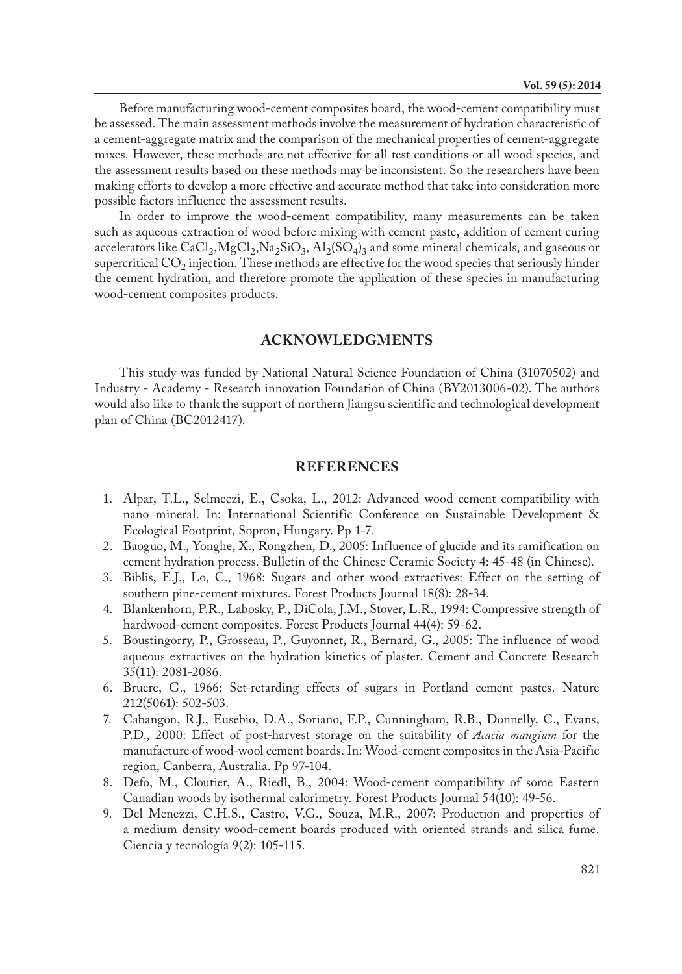Before manufacturing wood-cement composites board, the wood-cement compatibility must be assessed. The main assessment methods involve the measurement of hydration characteristic of a cement-aggregate matrix and the comparison of the mechanical properties of cement-aggregate mixes. However, these methods are not effective for all test conditions or all wood species, and the assessment results based on these methods may be inconsistent. So the researchers have been making efforts to develop a more effective and accurate method that take into consideration more possible factors influence the assessment results.

In order to improve the wood-cement compatibility, many measurements can be taken such as aqueous extraction of wood before mixing with cement paste, addition of cement curing accelerators like CaCl<sub>2</sub>,MgCl<sub>2</sub>,Na<sub>2</sub>SiO<sub>3</sub>, Al<sub>2</sub>(SO<sub>4</sub>)<sub>3</sub> and some mineral chemicals, and gaseous or supercritical  $CO<sub>2</sub>$  injection. These methods are effective for the wood species that seriously hinder the cement hydration, and therefore promote the application of these species in manufacturing wood-cement composites products.

## **ACKNOWLEDGMENTS**

This study was funded by National Natural Science Foundation of China (31070502) and Industry - Academy - Research innovation Foundation of China (BY2013006-02). The authors would also like to thank the support of northern Jiangsu scientific and technological development plan of China (BC2012417).

## **REFERENCES**

- 1. Alpar, T.L., Selmeczi, E., Csoka, L., 2012: Advanced wood cement compatibility with nano mineral. In: International Scientific Conference on Sustainable Development & Ecological Footprint, Sopron, Hungary. Pp 1-7.
- 2. Baoguo, M., Yonghe, X., Rongzhen, D., 2005: Influence of glucide and its ramification on cement hydration process. Bulletin of the Chinese Ceramic Society 4: 45-48 (in Chinese).
- 3. Biblis, E.J., Lo, C., 1968: Sugars and other wood extractives: Effect on the setting of southern pine-cement mixtures. Forest Products Journal 18(8): 28-34.
- 4. Blankenhorn, P.R., Labosky, P., DiCola, J.M., Stover, L.R., 1994: Compressive strength of hardwood-cement composites. Forest Products Journal 44(4): 59-62.
- 5. Boustingorry, P., Grosseau, P., Guyonnet, R., Bernard, G., 2005: The influence of wood aqueous extractives on the hydration kinetics of plaster. Cement and Concrete Research 35(11): 2081-2086.
- 6. Bruere, G., 1966: Set-retarding effects of sugars in Portland cement pastes. Nature 212(5061): 502-503.
- 7. Cabangon, R.J., Eusebio, D.A., Soriano, F.P., Cunningham, R.B., Donnelly, C., Evans, P.D., 2000: Effect of post-harvest storage on the suitability of *Acacia mangium* for the manufacture of wood-wool cement boards. In: Wood-cement composites in the Asia-Pacific region, Canberra, Australia. Pp 97-104.
- 8. Defo, M., Cloutier, A., Riedl, B., 2004: Wood-cement compatibility of some Eastern Canadian woods by isothermal calorimetry. Forest Products Journal 54(10): 49-56.
- 9. Del Menezzi, C.H.S., Castro, V.G., Souza, M.R., 2007: Production and properties of a medium density wood-cement boards produced with oriented strands and silica fume. Ciencia y tecnología 9(2): 105-115.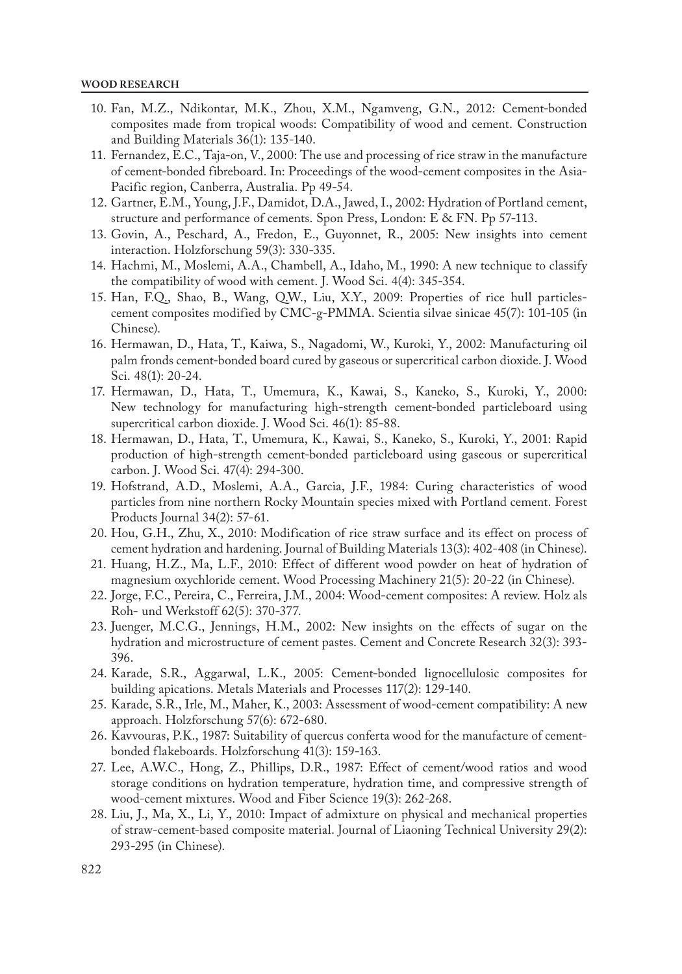- 10. Fan, M.Z., Ndikontar, M.K., Zhou, X.M., Ngamveng, G.N., 2012: Cement-bonded composites made from tropical woods: Compatibility of wood and cement. Construction and Building Materials 36(1): 135-140.
- 11. Fernandez, E.C., Taja-on, V., 2000: The use and processing of rice straw in the manufacture of cement-bonded fibreboard. In: Proceedings of the wood-cement composites in the Asia-Pacific region, Canberra, Australia. Pp 49-54.
- 12. Gartner, E.M., Young, J.F., Damidot, D.A., Jawed, I., 2002: Hydration of Portland cement, structure and performance of cements. Spon Press, London: E & FN. Pp 57-113.
- 13. Govin, A., Peschard, A., Fredon, E., Guyonnet, R., 2005: New insights into cement interaction. Holzforschung 59(3): 330-335.
- 14. Hachmi, M., Moslemi, A.A., Chambell, A., Idaho, M., 1990: A new technique to classify the compatibility of wood with cement. J. Wood Sci. 4(4): 345-354.
- 15. Han, F.Q., Shao, B., Wang, Q.W., Liu, X.Y., 2009: Properties of rice hull particlescement composites modified by CMC-g-PMMA. Scientia silvae sinicae 45(7): 101-105 (in Chinese).
- 16. Hermawan, D., Hata, T., Kaiwa, S., Nagadomi, W., Kuroki, Y., 2002: Manufacturing oil palm fronds cement-bonded board cured by gaseous or supercritical carbon dioxide. J. Wood Sci. 48(1): 20-24.
- 17. Hermawan, D., Hata, T., Umemura, K., Kawai, S., Kaneko, S., Kuroki, Y., 2000: New technology for manufacturing high-strength cement-bonded particleboard using supercritical carbon dioxide. J. Wood Sci. 46(1): 85-88.
- 18. Hermawan, D., Hata, T., Umemura, K., Kawai, S., Kaneko, S., Kuroki, Y., 2001: Rapid production of high-strength cement-bonded particleboard using gaseous or supercritical carbon. J. Wood Sci. 47(4): 294-300.
- 19. Hofstrand, A.D., Moslemi, A.A., Garcia, J.F., 1984: Curing characteristics of wood particles from nine northern Rocky Mountain species mixed with Portland cement. Forest Products Journal 34(2): 57-61.
- 20. Hou, G.H., Zhu, X., 2010: Modification of rice straw surface and its effect on process of cement hydration and hardening. Journal of Building Materials 13(3): 402-408 (in Chinese).
- 21. Huang, H.Z., Ma, L.F., 2010: Effect of different wood powder on heat of hydration of magnesium oxychloride cement. Wood Processing Machinery 21(5): 20-22 (in Chinese).
- 22. Jorge, F.C., Pereira, C., Ferreira, J.M., 2004: Wood-cement composites: A review. Holz als Roh- und Werkstoff 62(5): 370-377.
- 23. Juenger, M.C.G., Jennings, H.M., 2002: New insights on the effects of sugar on the hydration and microstructure of cement pastes. Cement and Concrete Research 32(3): 393- 396.
- 24. Karade, S.R., Aggarwal, L.K., 2005: Cement-bonded lignocellulosic composites for building apications. Metals Materials and Processes 117(2): 129-140.
- 25. Karade, S.R., Irle, M., Maher, K., 2003: Assessment of wood-cement compatibility: A new approach. Holzforschung 57(6): 672-680.
- 26. Kavvouras, P.K., 1987: Suitability of quercus conferta wood for the manufacture of cementbonded flakeboards. Holzforschung 41(3): 159-163.
- 27. Lee, A.W.C., Hong, Z., Phillips, D.R., 1987: Effect of cement/wood ratios and wood storage conditions on hydration temperature, hydration time, and compressive strength of wood-cement mixtures. Wood and Fiber Science 19(3): 262-268.
- 28. Liu, J., Ma, X., Li, Y., 2010: Impact of admixture on physical and mechanical properties of straw-cement-based composite material. Journal of Liaoning Technical University 29(2): 293-295 (in Chinese).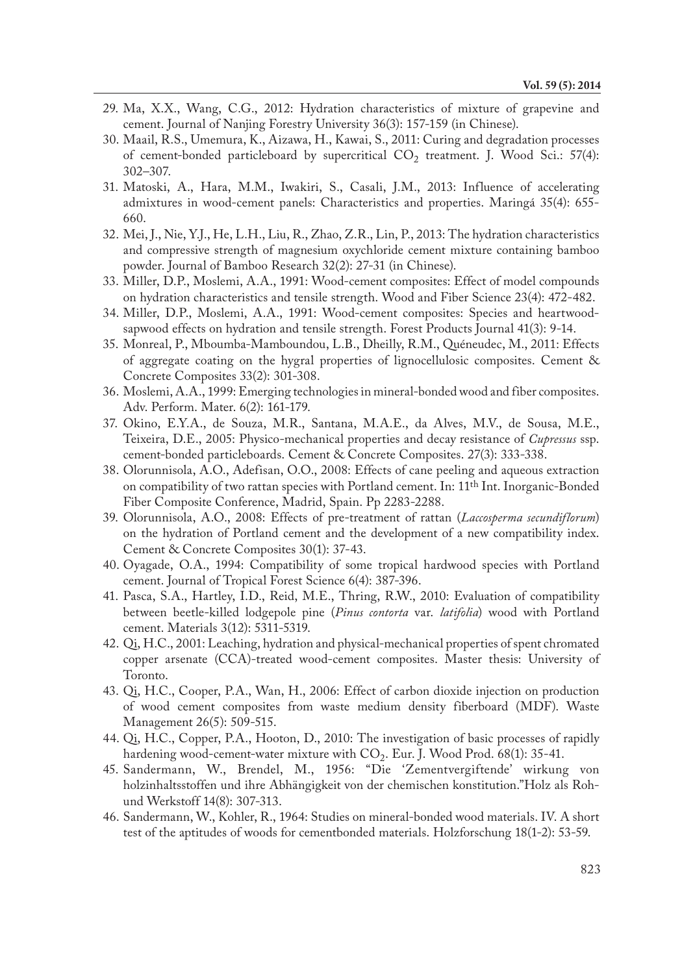- 29. Ma, X.X., Wang, C.G., 2012: Hydration characteristics of mixture of grapevine and cement. Journal of Nanjing Forestry University 36(3): 157-159 (in Chinese).
- 30. Maail, R.S., Umemura, K., Aizawa, H., Kawai, S., 2011: Curing and degradation processes of cement-bonded particleboard by supercritical  $CO<sub>2</sub>$  treatment. J. Wood Sci.: 57(4): 302–307.
- 31. Matoski, A., Hara, M.M., Iwakiri, S., Casali, J.M., 2013: Influence of accelerating admixtures in wood-cement panels: Characteristics and properties. Maringá 35(4): 655- 660.
- 32. Mei, J., Nie, Y.J., He, L.H., Liu, R., Zhao, Z.R., Lin, P., 2013: The hydration characteristics and compressive strength of magnesium oxychloride cement mixture containing bamboo powder. Journal of Bamboo Research 32(2): 27-31 (in Chinese).
- 33. Miller, D.P., Moslemi, A.A., 1991: Wood-cement composites: Effect of model compounds on hydration characteristics and tensile strength. Wood and Fiber Science 23(4): 472-482.
- 34. Miller, D.P., Moslemi, A.A., 1991: Wood-cement composites: Species and heartwoodsapwood effects on hydration and tensile strength. Forest Products Journal 41(3): 9-14.
- 35. Monreal, P., Mboumba-Mamboundou, L.B., Dheilly, R.M., Quéneudec, M., 2011: Effects of aggregate coating on the hygral properties of lignocellulosic composites. Cement & Concrete Composites 33(2): 301-308.
- 36. Moslemi, A.A., 1999: Emerging technologies in mineral-bonded wood and fiber composites. Adv. Perform. Mater. 6(2): 161-179.
- 37. Okino, E.Y.A., de Souza, M.R., Santana, M.A.E., da Alves, M.V., de Sousa, M.E., Teixeira, D.E., 2005: Physico-mechanical properties and decay resistance of *Cupressus* ssp. cement-bonded particleboards. Cement & Concrete Composites. 27(3): 333-338.
- 38. Olorunnisola, A.O., Adefisan, O.O., 2008: Effects of cane peeling and aqueous extraction on compatibility of two rattan species with Portland cement. In: 11th Int. Inorganic-Bonded Fiber Composite Conference, Madrid, Spain. Pp 2283-2288.
- 39. Olorunnisola, A.O., 2008: Effects of pre-treatment of rattan (*Laccosperma secundiflorum*) on the hydration of Portland cement and the development of a new compatibility index. Cement & Concrete Composites 30(1): 37-43.
- 40. Oyagade, O.A., 1994: Compatibility of some tropical hardwood species with Portland cement. Journal of Tropical Forest Science 6(4): 387-396.
- 41. Pasca, S.A., Hartley, I.D., Reid, M.E., Thring, R.W., 2010: Evaluation of compatibility between beetle-killed lodgepole pine (*Pinus contorta* var. *latifolia*) wood with Portland cement. Materials 3(12): 5311-5319.
- 42. Qi, H.C., 2001: Leaching, hydration and physical-mechanical properties of spent chromated copper arsenate (CCA)-treated wood-cement composites. Master thesis: University of Toronto.
- 43. Qi, H.C., Cooper, P.A., Wan, H., 2006: Effect of carbon dioxide injection on production of wood cement composites from waste medium density fiberboard (MDF). Waste Management 26(5): 509-515.
- 44. Qi, H.C., Copper, P.A., Hooton, D., 2010: The investigation of basic processes of rapidly hardening wood-cement-water mixture with  $CO<sub>2</sub>$ . Eur. J. Wood Prod. 68(1): 35-41.
- 45. Sandermann, W., Brendel, M., 1956: "Die 'Zementvergiftende' wirkung von holzinhaltsstoffen und ihre Abhängigkeit von der chemischen konstitution."Holz als Rohund Werkstoff 14(8): 307-313.
- 46. Sandermann, W., Kohler, R., 1964: Studies on mineral-bonded wood materials. IV. A short test of the aptitudes of woods for cementbonded materials. Holzforschung 18(1-2): 53-59.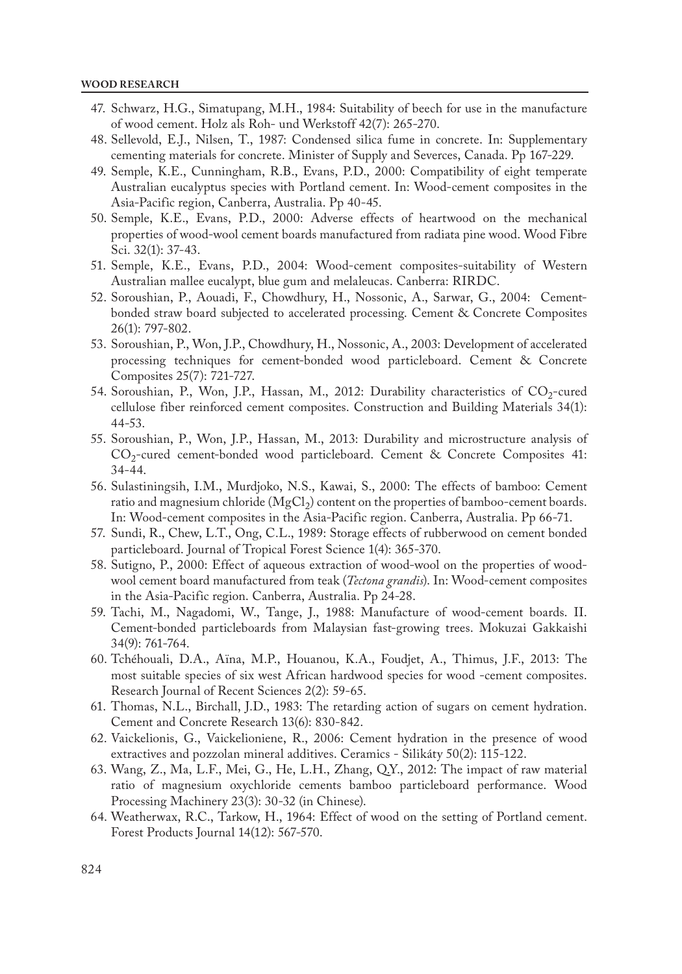#### **WOOD RESEARCH**

- 47. Schwarz, H.G., Simatupang, M.H., 1984: Suitability of beech for use in the manufacture of wood cement. Holz als Roh- und Werkstoff 42(7): 265-270.
- 48. Sellevold, E.J., Nilsen, T., 1987: Condensed silica fume in concrete. In: Supplementary cementing materials for concrete. Minister of Supply and Severces, Canada. Pp 167-229.
- 49. Semple, K.E., Cunningham, R.B., Evans, P.D., 2000: Compatibility of eight temperate Australian eucalyptus species with Portland cement. In: Wood-cement composites in the Asia-Pacific region, Canberra, Australia. Pp 40-45.
- 50. Semple, K.E., Evans, P.D., 2000: Adverse effects of heartwood on the mechanical properties of wood-wool cement boards manufactured from radiata pine wood. Wood Fibre Sci. 32(1): 37-43.
- 51. Semple, K.E., Evans, P.D., 2004: Wood-cement composites-suitability of Western Australian mallee eucalypt, blue gum and melaleucas. Canberra: RIRDC.
- 52. Soroushian, P., Aouadi, F., Chowdhury, H., Nossonic, A., Sarwar, G., 2004: Cementbonded straw board subjected to accelerated processing. Cement & Concrete Composites 26(1): 797-802.
- 53. Soroushian, P., Won, J.P., Chowdhury, H., Nossonic, A., 2003: Development of accelerated processing techniques for cement-bonded wood particleboard. Cement & Concrete Composites 25(7): 721-727.
- 54. Soroushian, P., Won, J.P., Hassan, M., 2012: Durability characteristics of  $CO<sub>2</sub>$ -cured cellulose fiber reinforced cement composites. Construction and Building Materials 34(1): 44-53.
- 55. Soroushian, P., Won, J.P., Hassan, M., 2013: Durability and microstructure analysis of  $CO<sub>2</sub>$ -cured cement-bonded wood particleboard. Cement & Concrete Composites 41: 34-44.
- 56. Sulastiningsih, I.M., Murdjoko, N.S., Kawai, S., 2000: The effects of bamboo: Cement ratio and magnesium chloride ( $MgCl<sub>2</sub>$ ) content on the properties of bamboo-cement boards. In: Wood-cement composites in the Asia-Pacific region. Canberra, Australia. Pp 66-71.
- 57. Sundi, R., Chew, L.T., Ong, C.L., 1989: Storage effects of rubberwood on cement bonded particleboard. Journal of Tropical Forest Science 1(4): 365-370.
- 58. Sutigno, P., 2000: Effect of aqueous extraction of wood-wool on the properties of woodwool cement board manufactured from teak (*Tectona grandis*). In: Wood-cement composites in the Asia-Pacific region. Canberra, Australia. Pp 24-28.
- 59. Tachi, M., Nagadomi, W., Tange, J., 1988: Manufacture of wood-cement boards. II. Cement-bonded particleboards from Malaysian fast-growing trees. Mokuzai Gakkaishi 34(9): 761-764.
- 60. Tchéhouali, D.A., Aïna, M.P., Houanou, K.A., Foudjet, A., Thimus, J.F., 2013: The most suitable species of six west African hardwood species for wood -cement composites. Research Journal of Recent Sciences 2(2): 59-65.
- 61. Thomas, N.L., Birchall, J.D., 1983: The retarding action of sugars on cement hydration. Cement and Concrete Research 13(6): 830-842.
- 62. Vaickelionis, G., Vaickelioniene, R., 2006: Cement hydration in the presence of wood extractives and pozzolan mineral additives. Ceramics - Silikáty 50(2): 115-122.
- 63. Wang, Z., Ma, L.F., Mei, G., He, L.H., Zhang, Q.Y., 2012: The impact of raw material ratio of magnesium oxychloride cements bamboo particleboard performance. Wood Processing Machinery 23(3): 30-32 (in Chinese).
- 64. Weatherwax, R.C., Tarkow, H., 1964: Effect of wood on the setting of Portland cement. Forest Products Journal 14(12): 567-570.